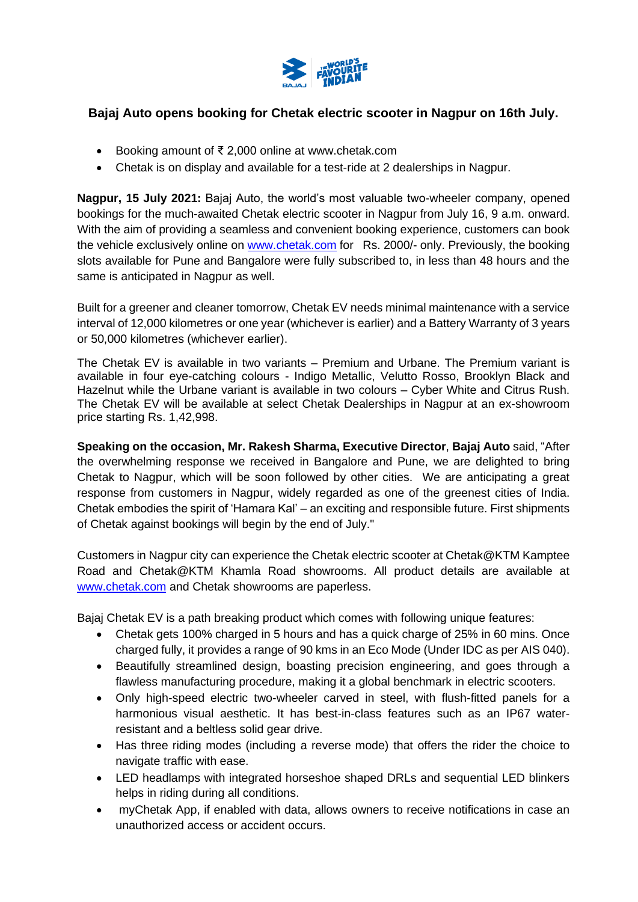

# **Bajaj Auto opens booking for Chetak electric scooter in Nagpur on 16th July.**

- Booking amount of ₹ 2,000 online at www.chetak.com
- Chetak is on display and available for a test-ride at 2 dealerships in Nagpur.

**Nagpur, 15 July 2021:** Bajaj Auto, the world's most valuable two-wheeler company, opened bookings for the much-awaited Chetak electric scooter in Nagpur from July 16, 9 a.m. onward. With the aim of providing a seamless and convenient booking experience, customers can book the vehicle exclusively online on [www.chetak.com](http://www.chetak.com/) for Rs. 2000/- only. Previously, the booking slots available for Pune and Bangalore were fully subscribed to, in less than 48 hours and the same is anticipated in Nagpur as well.

Built for a greener and cleaner tomorrow, Chetak EV needs minimal maintenance with a service interval of 12,000 kilometres or one year (whichever is earlier) and a Battery Warranty of 3 years or 50,000 kilometres (whichever earlier).

The Chetak EV is available in two variants – Premium and Urbane. The Premium variant is available in four eye-catching colours - Indigo Metallic, Velutto Rosso, Brooklyn Black and Hazelnut while the Urbane variant is available in two colours – Cyber White and Citrus Rush. The Chetak EV will be available at select Chetak Dealerships in Nagpur at an ex-showroom price starting Rs. 1,42,998.

**Speaking on the occasion, Mr. Rakesh Sharma, Executive Director**, **Bajaj Auto** said, "After the overwhelming response we received in Bangalore and Pune, we are delighted to bring Chetak to Nagpur, which will be soon followed by other cities. We are anticipating a great response from customers in Nagpur, widely regarded as one of the greenest cities of India. Chetak embodies the spirit of 'Hamara Kal' – an exciting and responsible future. First shipments of Chetak against bookings will begin by the end of July."

Customers in Nagpur city can experience the Chetak electric scooter at Chetak@KTM Kamptee Road and Chetak@KTM Khamla Road showrooms. All product details are available at [www.chetak.com](http://www.chetak.com/) and Chetak showrooms are paperless.

Bajaj Chetak EV is a path breaking product which comes with following unique features:

- Chetak gets 100% charged in 5 hours and has a quick charge of 25% in 60 mins. Once charged fully, it provides a range of 90 kms in an Eco Mode (Under IDC as per AIS 040).
- Beautifully streamlined design, boasting precision engineering, and goes through a flawless manufacturing procedure, making it a global benchmark in electric scooters.
- Only high-speed electric two-wheeler carved in steel, with flush-fitted panels for a harmonious visual aesthetic. It has best-in-class features such as an IP67 waterresistant and a beltless solid gear drive.
- Has three riding modes (including a reverse mode) that offers the rider the choice to navigate traffic with ease.
- LED headlamps with integrated horseshoe shaped DRLs and sequential LED blinkers helps in riding during all conditions.
- myChetak App, if enabled with data, allows owners to receive notifications in case an unauthorized access or accident occurs.